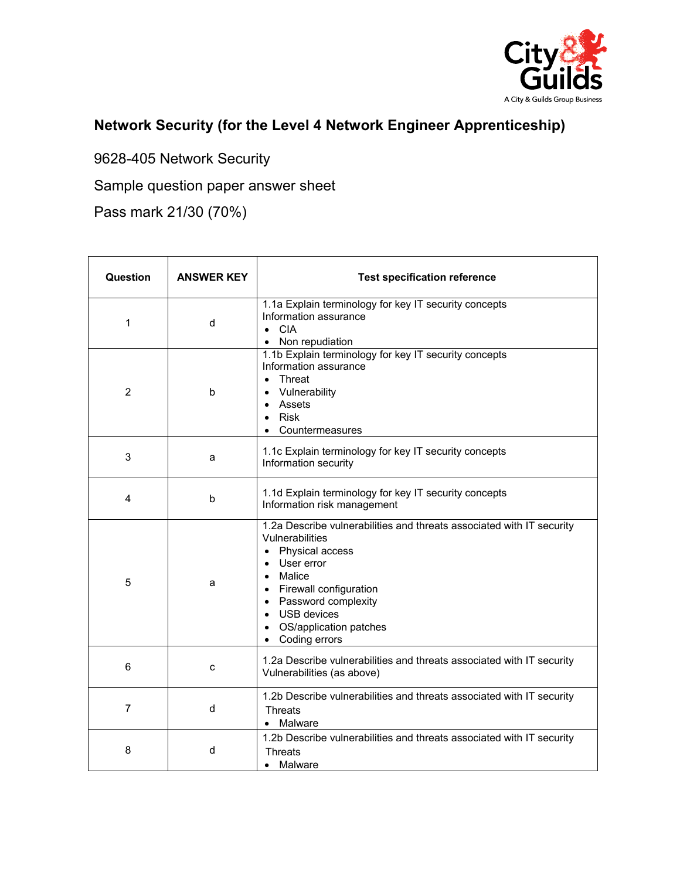

## **Network Security (for the Level 4 Network Engineer Apprenticeship)**

9628-405 Network Security

Sample question paper answer sheet

Pass mark 21/30 (70%)

| Question       | <b>ANSWER KEY</b> | <b>Test specification reference</b>                                                                                                                                                                                                                           |
|----------------|-------------------|---------------------------------------------------------------------------------------------------------------------------------------------------------------------------------------------------------------------------------------------------------------|
| 1              | d                 | 1.1a Explain terminology for key IT security concepts<br>Information assurance<br>$\bullet$ CIA<br>• Non repudiation                                                                                                                                          |
| $\overline{2}$ | b                 | 1.1b Explain terminology for key IT security concepts<br>Information assurance<br>• Threat<br>• Vulnerability<br>Assets<br>$\bullet$<br>Risk<br>$\bullet$<br>Countermeasures                                                                                  |
| 3              | a                 | 1.1c Explain terminology for key IT security concepts<br>Information security                                                                                                                                                                                 |
| 4              | b                 | 1.1d Explain terminology for key IT security concepts<br>Information risk management                                                                                                                                                                          |
| 5              | a                 | 1.2a Describe vulnerabilities and threats associated with IT security<br>Vulnerabilities<br>• Physical access<br>User error<br>• Malice<br>• Firewall configuration<br>• Password complexity<br><b>USB</b> devices<br>OS/application patches<br>Coding errors |
| 6              | C                 | 1.2a Describe vulnerabilities and threats associated with IT security<br>Vulnerabilities (as above)                                                                                                                                                           |
| 7              | d                 | 1.2b Describe vulnerabilities and threats associated with IT security<br><b>Threats</b><br>• Malware                                                                                                                                                          |
| 8              | d                 | 1.2b Describe vulnerabilities and threats associated with IT security<br><b>Threats</b><br>Malware                                                                                                                                                            |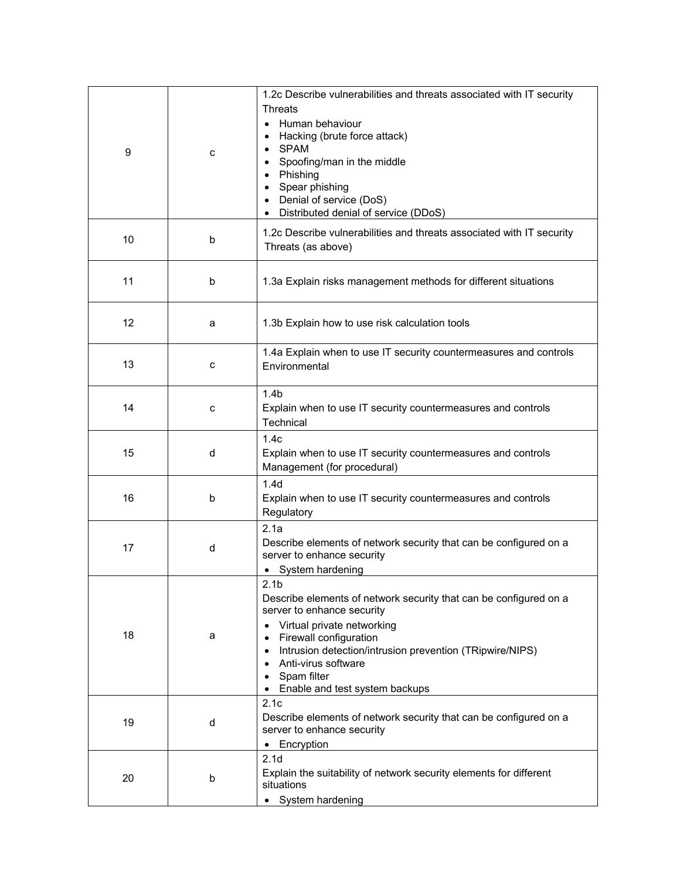| 9  | c | 1.2c Describe vulnerabilities and threats associated with IT security<br><b>Threats</b><br>• Human behaviour<br>Hacking (brute force attack)<br><b>SPAM</b><br>Spoofing/man in the middle<br>Phishing<br>Spear phishing<br>$\bullet$<br>Denial of service (DoS)<br>Distributed denial of service (DDoS)                   |
|----|---|---------------------------------------------------------------------------------------------------------------------------------------------------------------------------------------------------------------------------------------------------------------------------------------------------------------------------|
| 10 | b | 1.2c Describe vulnerabilities and threats associated with IT security<br>Threats (as above)                                                                                                                                                                                                                               |
| 11 | b | 1.3a Explain risks management methods for different situations                                                                                                                                                                                                                                                            |
| 12 | a | 1.3b Explain how to use risk calculation tools                                                                                                                                                                                                                                                                            |
| 13 | c | 1.4a Explain when to use IT security countermeasures and controls<br>Environmental                                                                                                                                                                                                                                        |
| 14 | c | 1.4 <sub>b</sub><br>Explain when to use IT security countermeasures and controls<br>Technical                                                                                                                                                                                                                             |
| 15 | d | 1.4c<br>Explain when to use IT security countermeasures and controls<br>Management (for procedural)                                                                                                                                                                                                                       |
| 16 | b | 1.4 <sub>d</sub><br>Explain when to use IT security countermeasures and controls<br>Regulatory                                                                                                                                                                                                                            |
| 17 | d | 2.1a<br>Describe elements of network security that can be configured on a<br>server to enhance security<br>• System hardening                                                                                                                                                                                             |
| 18 | a | 2.1 <sub>b</sub><br>Describe elements of network security that can be configured on a<br>server to enhance security<br>Virtual private networking<br>٠<br>Firewall configuration<br>٠<br>Intrusion detection/intrusion prevention (TRipwire/NIPS)<br>Anti-virus software<br>Spam filter<br>Enable and test system backups |
| 19 | d | 2.1c<br>Describe elements of network security that can be configured on a<br>server to enhance security<br>Encryption<br>$\bullet$                                                                                                                                                                                        |
| 20 | b | 2.1 <sub>d</sub><br>Explain the suitability of network security elements for different<br>situations<br>System hardening                                                                                                                                                                                                  |